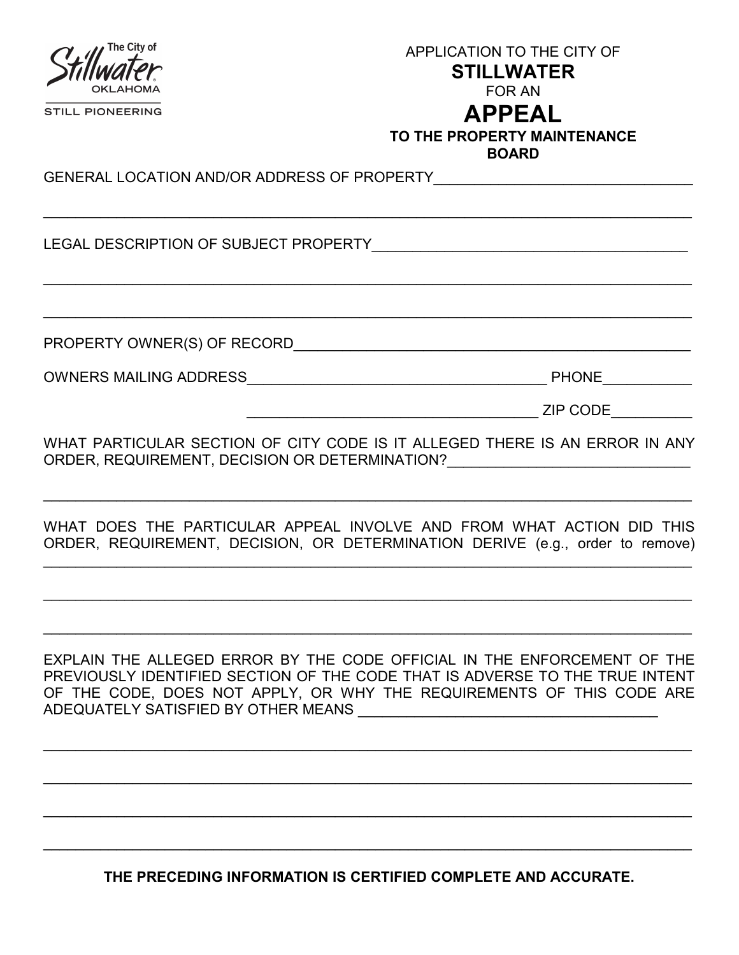| The City of<br><b>STILL PIONEERING</b>      | APPLICATION TO THE CITY OF<br><b>STILLWATER</b><br><b>FOR AN</b><br><b>APPEAL</b><br>TO THE PROPERTY MAINTENANCE<br><b>BOARD</b> |
|---------------------------------------------|----------------------------------------------------------------------------------------------------------------------------------|
| GENERAL LOCATION AND/OR ADDRESS OF PROPERTY |                                                                                                                                  |
| LEGAL DESCRIPTION OF SUBJECT PROPERTY       |                                                                                                                                  |
|                                             |                                                                                                                                  |
| PROPERTY OWNER(S) OF RECORD                 |                                                                                                                                  |
| OWNERS MAILING ADDRESS                      | <b>PHONE</b>                                                                                                                     |
|                                             | <b>ZIP CODE</b>                                                                                                                  |

WHAT PARTICULAR SECTION OF CITY CODE IS IT ALLEGED THERE IS AN ERROR IN ANY ORDER, REQUIREMENT, DECISION OR DETERMINATION? UNDER A REQUIREMENT, DECISION OR DETERMINATION?

WHAT DOES THE PARTICULAR APPEAL INVOLVE AND FROM WHAT ACTION DID THIS ORDER, REQUIREMENT, DECISION, OR DETERMINATION DERIVE (e.g., order to remove)

 $\_$  , and the set of the set of the set of the set of the set of the set of the set of the set of the set of the set of the set of the set of the set of the set of the set of the set of the set of the set of the set of th

 $\mathcal{L}_\text{max} = \frac{1}{2} \sum_{i=1}^{n} \frac{1}{2} \sum_{i=1}^{n} \frac{1}{2} \sum_{i=1}^{n} \frac{1}{2} \sum_{i=1}^{n} \frac{1}{2} \sum_{i=1}^{n} \frac{1}{2} \sum_{i=1}^{n} \frac{1}{2} \sum_{i=1}^{n} \frac{1}{2} \sum_{i=1}^{n} \frac{1}{2} \sum_{i=1}^{n} \frac{1}{2} \sum_{i=1}^{n} \frac{1}{2} \sum_{i=1}^{n} \frac{1}{2} \sum_{i=1}^{n} \frac{1$ 

 $\mathcal{L}_\text{max} = \frac{1}{2} \sum_{i=1}^{n} \frac{1}{2} \sum_{i=1}^{n} \frac{1}{2} \sum_{i=1}^{n} \frac{1}{2} \sum_{i=1}^{n} \frac{1}{2} \sum_{i=1}^{n} \frac{1}{2} \sum_{i=1}^{n} \frac{1}{2} \sum_{i=1}^{n} \frac{1}{2} \sum_{i=1}^{n} \frac{1}{2} \sum_{i=1}^{n} \frac{1}{2} \sum_{i=1}^{n} \frac{1}{2} \sum_{i=1}^{n} \frac{1}{2} \sum_{i=1}^{n} \frac{1$ 

 $\_$  , and the contribution of the contribution of the contribution of the contribution of the contribution of  $\mathcal{L}_\text{max}$ 

EXPLAIN THE ALLEGED ERROR BY THE CODE OFFICIAL IN THE ENFORCEMENT OF THE PREVIOUSLY IDENTIFIED SECTION OF THE CODE THAT IS ADVERSE TO THE TRUE INTENT OF THE CODE, DOES NOT APPLY, OR WHY THE REQUIREMENTS OF THIS CODE ARE ADEQUATELY SATISFIED BY OTHER MEANS

\_\_\_\_\_\_\_\_\_\_\_\_\_\_\_\_\_\_\_\_\_\_\_\_\_\_\_\_\_\_\_\_\_\_\_\_\_\_\_\_\_\_\_\_\_\_\_\_\_\_\_\_\_\_\_\_\_\_\_\_\_\_\_\_\_\_\_\_\_\_\_\_\_\_\_\_\_\_\_\_

\_\_\_\_\_\_\_\_\_\_\_\_\_\_\_\_\_\_\_\_\_\_\_\_\_\_\_\_\_\_\_\_\_\_\_\_\_\_\_\_\_\_\_\_\_\_\_\_\_\_\_\_\_\_\_\_\_\_\_\_\_\_\_\_\_\_\_\_\_\_\_\_\_\_\_\_\_\_\_\_

\_\_\_\_\_\_\_\_\_\_\_\_\_\_\_\_\_\_\_\_\_\_\_\_\_\_\_\_\_\_\_\_\_\_\_\_\_\_\_\_\_\_\_\_\_\_\_\_\_\_\_\_\_\_\_\_\_\_\_\_\_\_\_\_\_\_\_\_\_\_\_\_\_\_\_\_\_\_\_\_

\_\_\_\_\_\_\_\_\_\_\_\_\_\_\_\_\_\_\_\_\_\_\_\_\_\_\_\_\_\_\_\_\_\_\_\_\_\_\_\_\_\_\_\_\_\_\_\_\_\_\_\_\_\_\_\_\_\_\_\_\_\_\_\_\_\_\_\_\_\_\_\_\_\_\_\_\_\_\_\_

THE PRECEDING INFORMATION IS CERTIFIED COMPLETE AND ACCURATE.